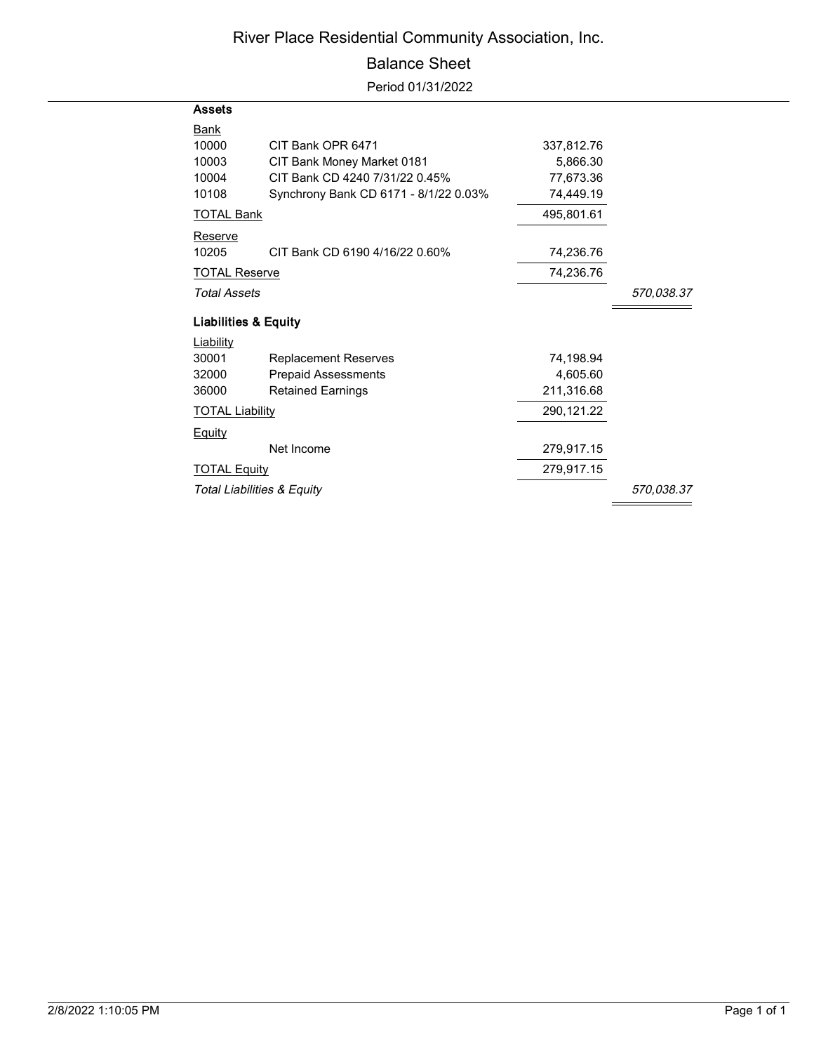## River Place Residential Community Association, Inc.

## Balance Sheet

Period 01/31/2022

| <b>Assets</b>                         |                                       |            |            |
|---------------------------------------|---------------------------------------|------------|------------|
| Bank                                  |                                       |            |            |
| 10000                                 | CIT Bank OPR 6471                     | 337,812.76 |            |
| 10003                                 | CIT Bank Money Market 0181            | 5.866.30   |            |
| 10004                                 | CIT Bank CD 4240 7/31/22 0.45%        | 77,673.36  |            |
| 10108                                 | Synchrony Bank CD 6171 - 8/1/22 0.03% | 74,449.19  |            |
| <b>TOTAL Bank</b>                     |                                       | 495,801.61 |            |
| Reserve                               |                                       |            |            |
| 10205                                 | CIT Bank CD 6190 4/16/22 0.60%        | 74,236.76  |            |
| <b>TOTAL Reserve</b>                  |                                       | 74,236.76  |            |
| <b>Total Assets</b>                   | 570,038.37                            |            |            |
| <b>Liabilities &amp; Equity</b>       |                                       |            |            |
| <b>Liability</b>                      |                                       |            |            |
| 30001                                 | <b>Replacement Reserves</b>           | 74.198.94  |            |
| 32000                                 | <b>Prepaid Assessments</b>            | 4,605.60   |            |
| 36000                                 | <b>Retained Earnings</b>              | 211,316.68 |            |
| <b>TOTAL Liability</b>                |                                       | 290,121.22 |            |
| <b>Equity</b>                         |                                       |            |            |
|                                       | Net Income                            | 279,917.15 |            |
| <b>TOTAL Equity</b>                   |                                       | 279,917.15 |            |
| <b>Total Liabilities &amp; Equity</b> |                                       |            | 570.038.37 |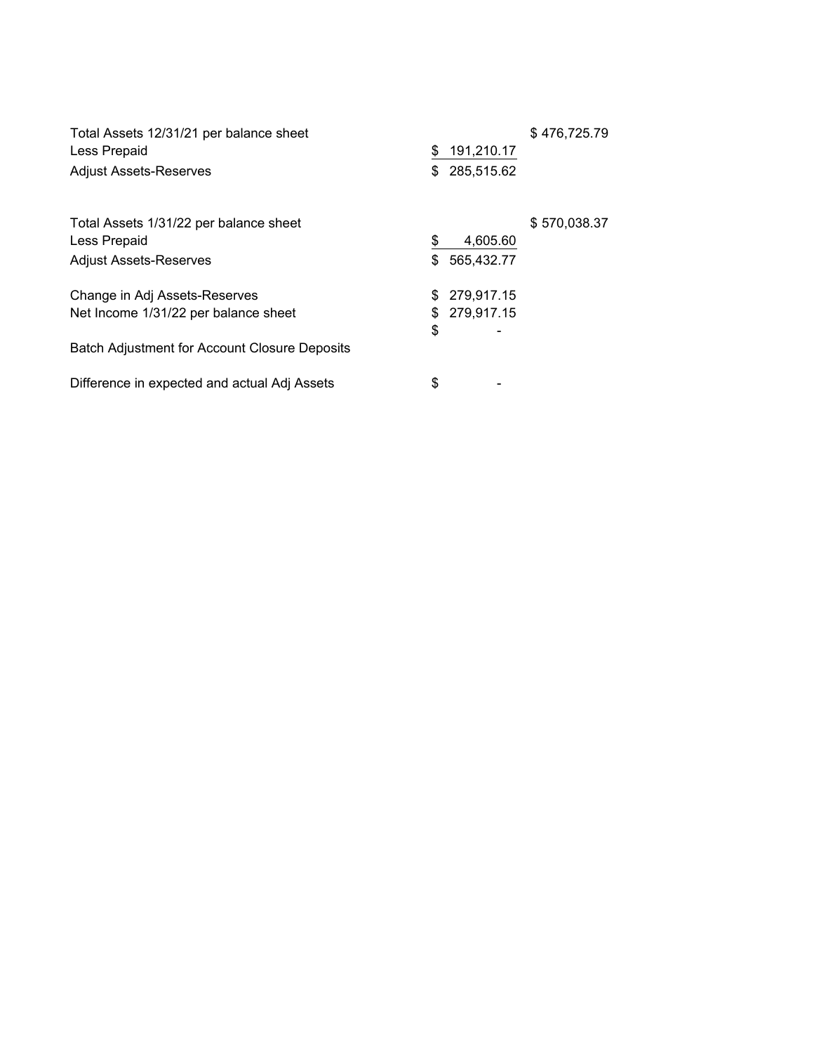| Total Assets 12/31/21 per balance sheet<br>Less Prepaid<br><b>Adjust Assets-Reserves</b> | \$<br>\$ | 191,210.17<br>285,515.62 | \$476,725.79 |
|------------------------------------------------------------------------------------------|----------|--------------------------|--------------|
| Total Assets 1/31/22 per balance sheet                                                   |          |                          | \$570,038.37 |
| Less Prepaid                                                                             | \$       | 4,605.60                 |              |
| <b>Adjust Assets-Reserves</b>                                                            | \$       | 565,432.77               |              |
| Change in Adj Assets-Reserves                                                            | S        | 279,917.15               |              |
| Net Income 1/31/22 per balance sheet                                                     | \$       | 279,917.15               |              |
|                                                                                          | \$       |                          |              |
| <b>Batch Adjustment for Account Closure Deposits</b>                                     |          |                          |              |
| Difference in expected and actual Adj Assets                                             | \$       |                          |              |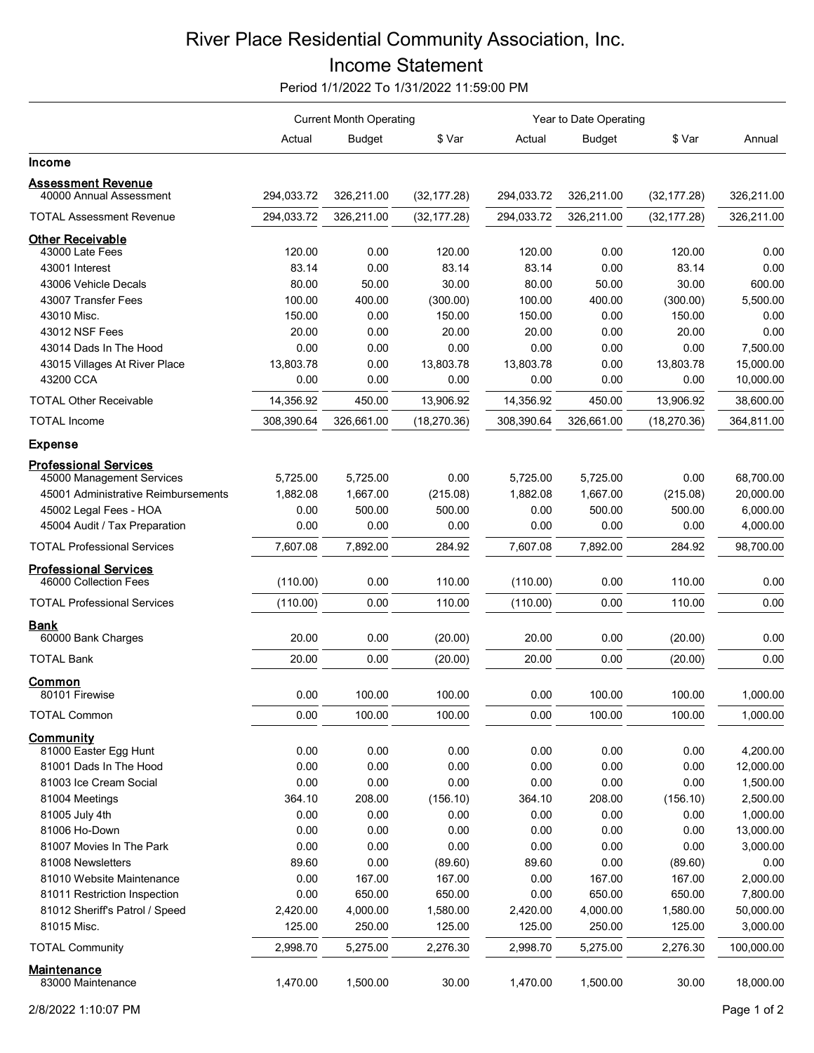## River Place Residential Community Association, Inc. Income Statement

Period 1/1/2022 To 1/31/2022 11:59:00 PM

|                                                       | <b>Current Month Operating</b> |               |              | Year to Date Operating |               |              |            |
|-------------------------------------------------------|--------------------------------|---------------|--------------|------------------------|---------------|--------------|------------|
|                                                       | Actual                         | <b>Budget</b> | \$ Var       | Actual                 | <b>Budget</b> | \$ Var       | Annual     |
| <b>Income</b>                                         |                                |               |              |                        |               |              |            |
| <b>Assessment Revenue</b>                             |                                |               |              |                        |               |              |            |
| 40000 Annual Assessment                               | 294,033.72                     | 326,211.00    | (32, 177.28) | 294,033.72             | 326,211.00    | (32, 177.28) | 326,211.00 |
| <b>TOTAL Assessment Revenue</b>                       | 294,033.72                     | 326,211.00    | (32, 177.28) | 294,033.72             | 326,211.00    | (32, 177.28) | 326,211.00 |
| <b>Other Receivable</b>                               |                                |               |              |                        |               |              |            |
| 43000 Late Fees                                       | 120.00                         | 0.00          | 120.00       | 120.00                 | 0.00          | 120.00       | 0.00       |
| 43001 Interest                                        | 83.14                          | 0.00          | 83.14        | 83.14                  | 0.00          | 83.14        | 0.00       |
| 43006 Vehicle Decals                                  | 80.00                          | 50.00         | 30.00        | 80.00                  | 50.00         | 30.00        | 600.00     |
| 43007 Transfer Fees                                   | 100.00                         | 400.00        | (300.00)     | 100.00                 | 400.00        | (300.00)     | 5,500.00   |
| 43010 Misc.                                           | 150.00                         | 0.00          | 150.00       | 150.00                 | 0.00          | 150.00       | 0.00       |
| 43012 NSF Fees                                        | 20.00                          | 0.00          | 20.00        | 20.00                  | 0.00          | 20.00        | 0.00       |
| 43014 Dads In The Hood                                | 0.00                           | 0.00          | 0.00         | 0.00                   | 0.00          | 0.00         | 7,500.00   |
| 43015 Villages At River Place                         | 13,803.78                      | 0.00          | 13,803.78    | 13,803.78              | 0.00          | 13,803.78    | 15,000.00  |
| 43200 CCA                                             | 0.00                           | 0.00          | 0.00         | 0.00                   | 0.00          | 0.00         | 10,000.00  |
| <b>TOTAL Other Receivable</b>                         | 14,356.92                      | 450.00        | 13,906.92    | 14,356.92              | 450.00        | 13,906.92    | 38,600.00  |
| <b>TOTAL Income</b>                                   | 308,390.64                     | 326,661.00    | (18, 270.36) | 308,390.64             | 326,661.00    | (18, 270.36) | 364,811.00 |
| <b>Expense</b>                                        |                                |               |              |                        |               |              |            |
| <b>Professional Services</b>                          |                                |               |              |                        |               |              |            |
| 45000 Management Services                             | 5,725.00                       | 5,725.00      | 0.00         | 5,725.00               | 5,725.00      | 0.00         | 68,700.00  |
| 45001 Administrative Reimbursements                   | 1,882.08                       | 1,667.00      | (215.08)     | 1,882.08               | 1,667.00      | (215.08)     | 20,000.00  |
| 45002 Legal Fees - HOA                                | 0.00                           | 500.00        | 500.00       | 0.00                   | 500.00        | 500.00       | 6,000.00   |
| 45004 Audit / Tax Preparation                         | 0.00                           | 0.00          | 0.00         | 0.00                   | 0.00          | 0.00         | 4,000.00   |
| <b>TOTAL Professional Services</b>                    | 7,607.08                       | 7,892.00      | 284.92       | 7,607.08               | 7,892.00      | 284.92       | 98,700.00  |
| <b>Professional Services</b><br>46000 Collection Fees | (110.00)                       | 0.00          | 110.00       | (110.00)               | 0.00          | 110.00       | 0.00       |
| <b>TOTAL Professional Services</b>                    | (110.00)                       | 0.00          | 110.00       | (110.00)               | 0.00          | 110.00       | 0.00       |
| Bank                                                  |                                |               |              |                        |               |              |            |
| 60000 Bank Charges                                    | 20.00                          | 0.00          | (20.00)      | 20.00                  | 0.00          | (20.00)      | 0.00       |
| <b>TOTAL Bank</b>                                     | 20.00                          | 0.00          | (20.00)      | 20.00                  | 0.00          | (20.00)      | 0.00       |
| Common<br>80101 Firewise                              | 0.00                           | 100.00        | 100.00       | 0.00                   | 100.00        | 100.00       | 1,000.00   |
|                                                       |                                |               |              |                        |               |              |            |
| <b>TOTAL Common</b>                                   | 0.00                           | 100.00        | 100.00       | 0.00                   | 100.00        | 100.00       | 1,000.00   |
| Community<br>81000 Easter Egg Hunt                    | 0.00                           | 0.00          | 0.00         | 0.00                   | 0.00          | 0.00         | 4,200.00   |
| 81001 Dads In The Hood                                | 0.00                           | 0.00          | 0.00         | 0.00                   | 0.00          | 0.00         | 12,000.00  |
| 81003 Ice Cream Social                                | 0.00                           | 0.00          | 0.00         | 0.00                   | 0.00          | 0.00         | 1,500.00   |
| 81004 Meetings                                        | 364.10                         | 208.00        | (156.10)     | 364.10                 | 208.00        | (156.10)     | 2,500.00   |
| 81005 July 4th                                        | 0.00                           | 0.00          | 0.00         | 0.00                   | 0.00          | 0.00         | 1,000.00   |
| 81006 Ho-Down                                         | 0.00                           | 0.00          | 0.00         | 0.00                   | 0.00          | 0.00         | 13,000.00  |
| 81007 Movies In The Park                              | 0.00                           | 0.00          | 0.00         | 0.00                   | 0.00          | 0.00         | 3,000.00   |
| 81008 Newsletters                                     | 89.60                          | 0.00          | (89.60)      | 89.60                  | 0.00          | (89.60)      | 0.00       |
| 81010 Website Maintenance                             | 0.00                           | 167.00        | 167.00       | 0.00                   | 167.00        | 167.00       | 2,000.00   |
| 81011 Restriction Inspection                          | 0.00                           | 650.00        | 650.00       | 0.00                   | 650.00        | 650.00       | 7,800.00   |
| 81012 Sheriff's Patrol / Speed                        | 2,420.00                       | 4,000.00      | 1,580.00     | 2,420.00               | 4,000.00      | 1,580.00     | 50,000.00  |
| 81015 Misc.                                           | 125.00                         | 250.00        | 125.00       | 125.00                 | 250.00        | 125.00       | 3,000.00   |
| <b>TOTAL Community</b>                                | 2,998.70                       | 5,275.00      | 2,276.30     | 2,998.70               | 5,275.00      | 2,276.30     | 100,000.00 |
| <b>Maintenance</b>                                    |                                |               |              |                        |               |              |            |
| 83000 Maintenance                                     | 1,470.00                       | 1,500.00      | 30.00        | 1,470.00               | 1,500.00      | 30.00        | 18,000.00  |